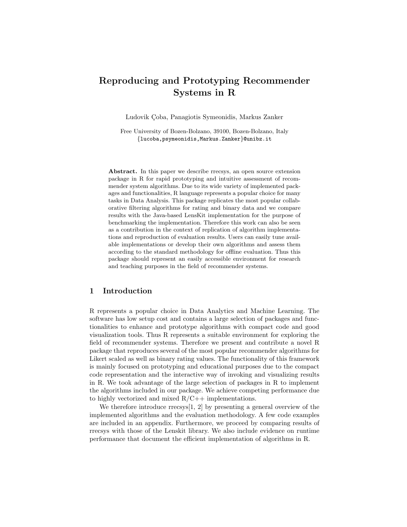# Reproducing and Prototyping Recommender Systems in R

Ludovik Çoba, Panagiotis Symeonidis, Markus Zanker

Free University of Bozen-Bolzano, 39100, Bozen-Bolzano, Italy {lucoba,psymeonidis,Markus.Zanker}@unibz.it

Abstract. In this paper we describe rrecsys, an open source extension package in R for rapid prototyping and intuitive assessment of recommender system algorithms. Due to its wide variety of implemented packages and functionalities, R language represents a popular choice for many tasks in Data Analysis. This package replicates the most popular collaborative filtering algorithms for rating and binary data and we compare results with the Java-based LensKit implementation for the purpose of benchmarking the implementation. Therefore this work can also be seen as a contribution in the context of replication of algorithm implementations and reproduction of evaluation results. Users can easily tune available implementations or develop their own algorithms and assess them according to the standard methodology for offline evaluation. Thus this package should represent an easily accessible environment for research and teaching purposes in the field of recommender systems.

### 1 Introduction

R represents a popular choice in Data Analytics and Machine Learning. The software has low setup cost and contains a large selection of packages and functionalities to enhance and prototype algorithms with compact code and good visualization tools. Thus R represents a suitable environment for exploring the field of recommender systems. Therefore we present and contribute a novel R package that reproduces several of the most popular recommender algorithms for Likert scaled as well as binary rating values. The functionality of this framework is mainly focused on prototyping and educational purposes due to the compact code representation and the interactive way of invoking and visualizing results in R. We took advantage of the large selection of packages in R to implement the algorithms included in our package. We achieve competing performance due to highly vectorized and mixed  $R/C++$  implementations.

We therefore introduce rrecsys[1, 2] by presenting a general overview of the implemented algorithms and the evaluation methodology. A few code examples are included in an appendix. Furthermore, we proceed by comparing results of rrecsys with those of the Lenskit library. We also include evidence on runtime performance that document the efficient implementation of algorithms in R.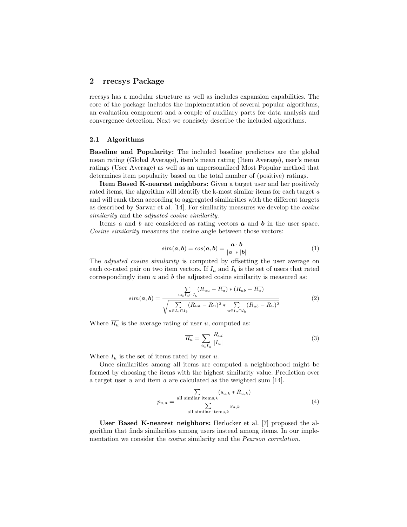### 2 rrecsys Package

rrecsys has a modular structure as well as includes expansion capabilities. The core of the package includes the implementation of several popular algorithms, an evaluation component and a couple of auxiliary parts for data analysis and convergence detection. Next we concisely describe the included algorithms.

#### 2.1 Algorithms

Baseline and Popularity: The included baseline predictors are the global mean rating (Global Average), item's mean rating (Item Average), user's mean ratings (User Average) as well as an unpersonalized Most Popular method that determines item popularity based on the total number of (positive) ratings.

Item Based K-nearest neighbors: Given a target user and her positively rated items, the algorithm will identify the k-most similar items for each target a and will rank them according to aggregated similarities with the different targets as described by Sarwar et al. [14]. For similarity measures we develop the cosine similarity and the *adjusted* cosine similarity.

Items  $a$  and  $b$  are considered as rating vectors  $a$  and  $b$  in the user space. Cosine similarity measures the cosine angle between those vectors:

$$
sim(\mathbf{a}, \mathbf{b}) = cos(\mathbf{a}, \mathbf{b}) = \frac{\mathbf{a} \cdot \mathbf{b}}{|\mathbf{a}| * |\mathbf{b}|}
$$
(1)

The *adjusted cosine similarity* is computed by offsetting the user average on each co-rated pair on two item vectors. If  $I_a$  and  $I_b$  is the set of users that rated correspondingly item  $a$  and  $b$  the adjusted cosine similarity is measured as:

$$
sim(\boldsymbol{a}, \boldsymbol{b}) = \frac{\sum_{u \in I_a \cap I_b} (R_{ua} - \overline{R_u}) * (R_{ub} - \overline{R_u})}{\sqrt{\sum_{u \in I_a \cap I_b} (R_{ua} - \overline{R_u})^2 * \sum_{u \in I_a \cap I_b} (R_{ub} - \overline{R_u})^2}}
$$
(2)

Where  $\overline{R_u}$  is the average rating of user u, computed as:

$$
\overline{R_u} = \sum_{i \in I_u} \frac{R_{ui}}{|I_u|} \tag{3}
$$

Where  $I_u$  is the set of items rated by user u.

Once similarities among all items are computed a neighborhood might be formed by choosing the items with the highest similarity value. Prediction over a target user u and item a are calculated as the weighted sum [14].

$$
p_{u,a} = \frac{\sum\limits_{\text{all similar items},k} (s_{a,k} * R_{u,k})}{\sum\limits_{\text{all similar items},k} s_{a,k}}
$$
(4)

User Based K-nearest neighbors: Herlocker et al. [7] proposed the algorithm that finds similarities among users instead among items. In our implementation we consider the cosine similarity and the Pearson correlation.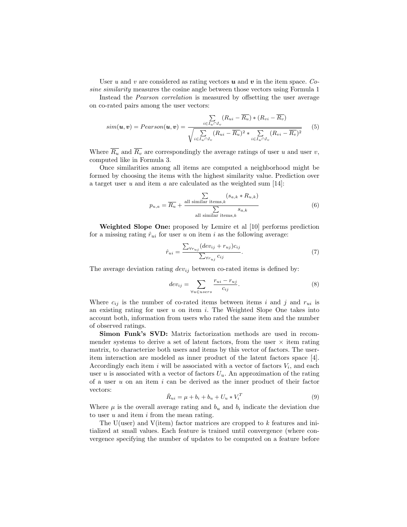User u and v are considered as rating vectors u and v in the item space. Cosine similarity measures the cosine angle between those vectors using Formula 1

Instead the Pearson correlation is measured by offsetting the user average on co-rated pairs among the user vectors:

$$
sim(\boldsymbol{u}, \boldsymbol{v}) = Pearson(\boldsymbol{u}, \boldsymbol{v}) = \frac{\sum\limits_{i \in I_u \cap I_v} (R_{ui} - \overline{R_u}) * (R_{vi} - \overline{R_v})}{\sqrt{\sum\limits_{i \in I_u \cap I_v} (R_{ui} - \overline{R_u})^2 * \sum\limits_{i \in I_u \cap I_v} (R_{vi} - \overline{R_v})^2}}
$$
(5)

Where  $\overline{R_u}$  and  $\overline{R_v}$  are correspondingly the average ratings of user u and user v, computed like in Formula 3.

Once similarities among all items are computed a neighborhood might be formed by choosing the items with the highest similarity value. Prediction over a target user  $u$  and item  $a$  are calculated as the weighted sum [14]:

$$
p_{u,a} = \overline{R_u} + \frac{\sum\limits_{\text{all similar items},k} (s_{a,k} * R_{u,k})}{\sum\limits_{\text{all similar items},k} s_{a,k}}
$$
(6)

Weighted Slope One: proposed by Lemire et al [10] performs prediction for a missing rating  $\hat{r}_{ui}$  for user u on item i as the following average:

$$
\hat{r}_{ui} = \frac{\sum_{\forall r_{uj}} (dev_{ij} + r_{uj})c_{ij}}{\sum_{\forall r_{uj}} c_{ij}}.
$$
\n(7)

The average deviation rating  $dev_{ij}$  between co-rated items is defined by:

$$
dev_{ij} = \sum_{\forall u \in users} \frac{r_{ui} - r_{uj}}{c_{ij}}.
$$
 (8)

Where  $c_{ij}$  is the number of co-rated items between items i and j and  $r_{ui}$  is an existing rating for user  $u$  on item  $i$ . The Weighted Slope One takes into account both, information from users who rated the same item and the number of observed ratings.

Simon Funk's SVD: Matrix factorization methods are used in recommender systems to derive a set of latent factors, from the user  $\times$  item rating matrix, to characterize both users and items by this vector of factors. The useritem interaction are modeled as inner product of the latent factors space [4]. Accordingly each item  $i$  will be associated with a vector of factors  $V_i$ , and each user u is associated with a vector of factors  $U_u$ . An approximation of the rating of a user  $u$  on an item  $i$  can be derived as the inner product of their factor vectors:

$$
\hat{R}_{ui} = \mu + b_i + b_u + U_u * V_i^T
$$
\n(9)

Where  $\mu$  is the overall average rating and  $b_u$  and  $b_i$  indicate the deviation due to user  $u$  and item  $i$  from the mean rating.

The U(user) and V(item) factor matrices are cropped to k features and initialized at small values. Each feature is trained until convergence (where convergence specifying the number of updates to be computed on a feature before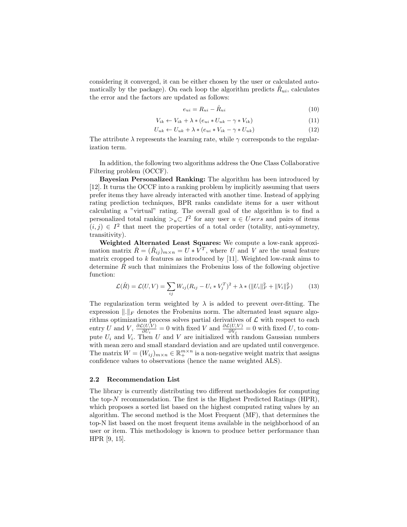considering it converged, it can be either chosen by the user or calculated automatically by the package). On each loop the algorithm predicts  $\hat{R}_{ui}$ , calculates the error and the factors are updated as follows:

$$
e_{ui} = R_{ui} - \hat{R}_{ui} \tag{10}
$$

$$
V_{ik} \leftarrow V_{ik} + \lambda * (e_{ui} * U_{uk} - \gamma * V_{ik})
$$
\n
$$
(11)
$$

$$
U_{uk} \leftarrow U_{uk} + \lambda * (e_{ui} * V_{ik} - \gamma * U_{uk})
$$
\n
$$
(12)
$$

The attribute  $\lambda$  represents the learning rate, while  $\gamma$  corresponds to the regularization term.

In addition, the following two algorithms address the One Class Collaborative Filtering problem (OCCF).

Bayesian Personalized Ranking: The algorithm has been introduced by [12]. It turns the OCCF into a ranking problem by implicitly assuming that users prefer items they have already interacted with another time. Instead of applying rating prediction techniques, BPR ranks candidate items for a user without calculating a "virtual" rating. The overall goal of the algorithm is to find a personalized total ranking  $\geq_u\subset I^2$  for any user  $u \in Users$  and pairs of items  $(i, j) \in I<sup>2</sup>$  that meet the properties of a total order (totality, anti-symmetry, transitivity).

Weighted Alternated Least Squares: We compute a low-rank approximation matrix  $\hat{R} = (\hat{R}_{ij})_{m \times n} = U * V^{T}$ , where U and V are the usual feature matrix cropped to  $k$  features as introduced by [11]. Weighted low-rank aims to determine  $\tilde{R}$  such that minimizes the Frobenius loss of the following objective function:

$$
\mathcal{L}(\hat{R}) = \mathcal{L}(U, V) = \sum_{ij} W_{ij} (R_{ij} - U_i * V_j^T)^2 + \lambda * (\|U_i\|_F^2 + \|V_i\|_F^2)
$$
(13)

The regularization term weighted by  $\lambda$  is added to prevent over-fitting. The expression  $\|.\|_F$  denotes the Frobenius norm. The alternated least square algorithms optimization process solves partial derivatives of  $\mathcal L$  with respect to each entry U and V,  $\frac{\partial \mathcal{L}(U,V)}{\partial U}$  $\frac{\partial \mathcal{L}(U,V)}{\partial U_i} = 0$  with fixed V and  $\frac{\partial \mathcal{L}(U,V)}{\partial V_j} = 0$  with fixed U, to compute  $U_i$  and  $V_i$ . Then U and V are initialized with random Gaussian numbers with mean zero and small standard deviation and are updated until convergence. The matrix  $W = (W_{ij})_{m \times n} \in \mathbb{R}_+^{m \times n}$  is a non-negative weight matrix that assigns confidence values to observations (hence the name weighted ALS).

#### 2.2 Recommendation List

The library is currently distributing two different methodologies for computing the top-N recommendation. The first is the Highest Predicted Ratings (HPR), which proposes a sorted list based on the highest computed rating values by an algorithm. The second method is the Most Frequent (MF), that determines the top-N list based on the most frequent items available in the neighborhood of an user or item. This methodology is known to produce better performance than HPR [9, 15].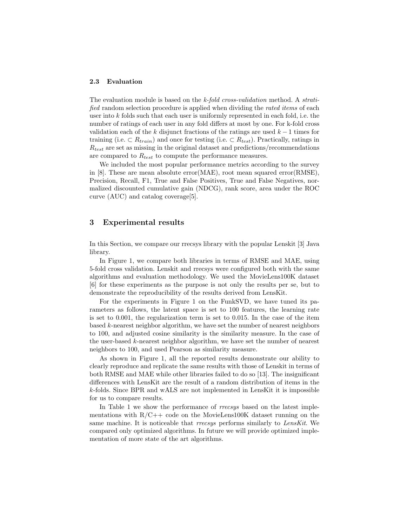#### 2.3 Evaluation

The evaluation module is based on the k-fold cross-validation method. A stratified random selection procedure is applied when dividing the rated items of each user into k folds such that each user is uniformly represented in each fold, i.e. the number of ratings of each user in any fold differs at most by one. For k-fold cross validation each of the k disjunct fractions of the ratings are used  $k - 1$  times for training (i.e.  $\subset R_{train}$ ) and once for testing (i.e.  $\subset R_{test}$ ). Practically, ratings in  $R_{test}$  are set as missing in the original dataset and predictions/recommendations are compared to  $R_{test}$  to compute the performance measures.

We included the most popular performance metrics according to the survey in [8]. These are mean absolute error(MAE), root mean squared error(RMSE), Precision, Recall, F1, True and False Positives, True and False Negatives, normalized discounted cumulative gain (NDCG), rank score, area under the ROC curve (AUC) and catalog coverage[5].

### 3 Experimental results

In this Section, we compare our rrecsys library with the popular Lenskit [3] Java library.

In Figure 1, we compare both libraries in terms of RMSE and MAE, using 5-fold cross validation. Lenskit and rrecsys were configured both with the same algorithms and evaluation methodology. We used the MovieLens100K dataset [6] for these experiments as the purpose is not only the results per se, but to demonstrate the reproducibility of the results derived from LensKit.

For the experiments in Figure 1 on the FunkSVD, we have tuned its parameters as follows, the latent space is set to 100 features, the learning rate is set to 0.001, the regularization term is set to 0.015. In the case of the item based k-nearest neighbor algorithm, we have set the number of nearest neighbors to 100, and adjusted cosine similarity is the similarity measure. In the case of the user-based  $k$ -nearest neighbor algorithm, we have set the number of nearest neighbors to 100, and used Pearson as similarity measure.

As shown in Figure 1, all the reported results demonstrate our ability to clearly reproduce and replicate the same results with those of Lenskit in terms of both RMSE and MAE while other libraries failed to do so [13]. The insignificant differences with LensKit are the result of a random distribution of items in the k-folds. Since BPR and wALS are not implemented in LensKit it is impossible for us to compare results.

In Table 1 we show the performance of rrecsys based on the latest implementations with  $R/C++$  code on the MovieLens100K dataset running on the same machine. It is noticeable that *rrecsys* performs similarly to LensKit. We compared only optimized algorithms. In future we will provide optimized implementation of more state of the art algorithms.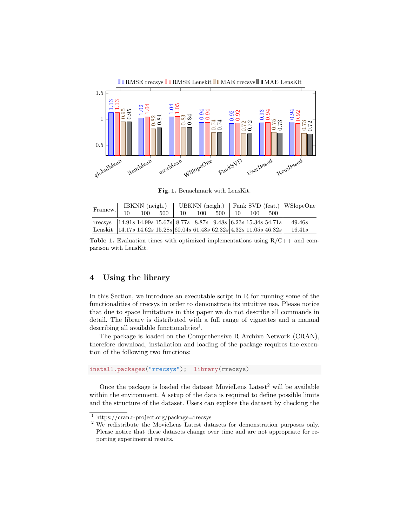

Fig. 1. Benachmark with LensKit.

| Framew.                                                                   |                      |  |  | IBKNN (neigh.)   UBKNN (neigh.)   Funk SVD (feat.)   WSlopeOne |        |              |  |  |     |                                                                                   |
|---------------------------------------------------------------------------|----------------------|--|--|----------------------------------------------------------------|--------|--------------|--|--|-----|-----------------------------------------------------------------------------------|
|                                                                           | $1 \t10 \t100 \t500$ |  |  |                                                                | 10 100 | 500   10 100 |  |  | 500 |                                                                                   |
|                                                                           |                      |  |  |                                                                |        |              |  |  |     | Trecsys   14.91s 14.99s 15.67s   8.77s 8.87s 9.48s   6.23s 15.34s 54.71s   49.46s |
| Lenskit   14.17s 14.62s 15.28s 60.04s 61.48s 62.32s   4.32s 11.05s 46.82s |                      |  |  |                                                                |        |              |  |  |     | 16.41s                                                                            |

**Table 1.** Evaluation times with optimized implementations using  $R/C++$  and comparison with LensKit.

### 4 Using the library

In this Section, we introduce an executable script in R for running some of the functionalities of rrecsys in order to demonstrate its intuitive use. Please notice that due to space limitations in this paper we do not describe all commands in detail. The library is distributed with a full range of vignettes and a manual describing all available functionalities<sup>1</sup>.

The package is loaded on the Comprehensive R Archive Network (CRAN), therefore download, installation and loading of the package requires the execution of the following two functions:

```
install.packages("rrecsys"); library(rrecsys)
```
Once the package is loaded the dataset MovieLens Latest<sup>2</sup> will be available within the environment. A setup of the data is required to define possible limits and the structure of the dataset. Users can explore the dataset by checking the

 $1$  https://cran.r-project.org/package=rrecsys

<sup>2</sup> We redistribute the MovieLens Latest datasets for demonstration purposes only. Please notice that these datasets change over time and are not appropriate for reporting experimental results.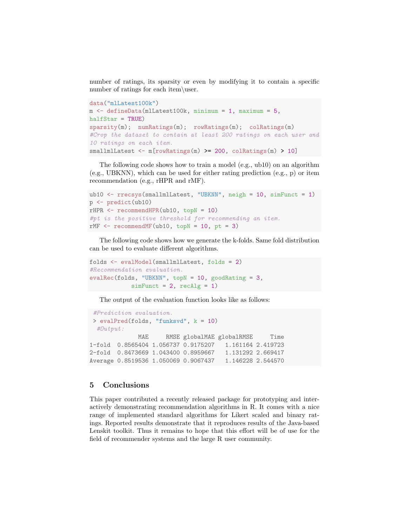number of ratings, its sparsity or even by modifying it to contain a specific number of ratings for each item\user.

```
data("mlLatest100k")
m <- defineData(mlLatest100k, minimum = 1, maximum = 5,
halfStar = TRUE)
sparsity(m); numRatings(m); rowRatings(m); colRatings(m)
#Crop the dataset to contain at least 200 ratings on each user and
10 ratings on each item.
smallmlLatest <- m[rowRatings(m) >= 200, colRatings(m) > 10]
```
The following code shows how to train a model (e.g., ub10) on an algorithm (e.g., UBKNN), which can be used for either rating prediction (e.g., p) or item recommendation (e.g., rHPR and rMF).

```
ub10 <- rrecsys(smallmlLatest, "UBKNN", neigh = 10, simFunct = 1)
p <- predict(ub10)
rHPR \leq r recommend HPR(ub10, topN = 10)#pt is the positive threshold for recommending an item.
rMF \leftarrow recommendMF(ub10, topN = 10, pt = 3)
```
The following code shows how we generate the k-folds. Same fold distribution can be used to evaluate different algorithms.

```
folds <- evalModel(smallmlLatest, folds = 2)
#Recommendation evaluation.
evalRec(folds, "UBKNN", topN = 10, goodRating = 3,
            simFunction = 2, recall = 1)
```
The output of the evaluation function looks like as follows:

```
#Prediction evaluation.
> evalPred(folds, "funksvd", k = 10)
 #Output:
             MAE RMSE globalMAE globalRMSE Time
1-fold 0.8565404 1.056737 0.9175207 1.161164 2.419723
2-fold 0.8473669 1.043400 0.8959667 1.131292 2.669417
Average 0.8519536 1.050069 0.9067437 1.146228 2.544570
```
## 5 Conclusions

This paper contributed a recently released package for prototyping and interactively demonstrating recommendation algorithms in R. It comes with a nice range of implemented standard algorithms for Likert scaled and binary ratings. Reported results demonstrate that it reproduces results of the Java-based Lenskit toolkit. Thus it remains to hope that this effort will be of use for the field of recommender systems and the large R user community.